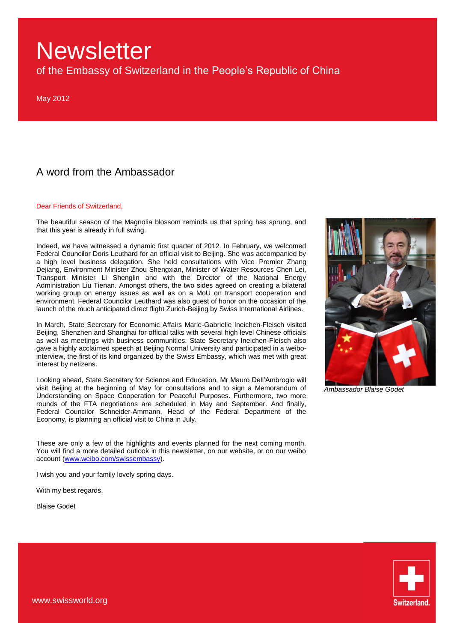of the Embassy of Switzerland in the People's Republic of China

May 2012

### A word from the Ambassador

#### Dear Friends of Switzerland,

The beautiful season of the Magnolia blossom reminds us that spring has sprung, and that this year is already in full swing.

Indeed, we have witnessed a dynamic first quarter of 2012. In February, we welcomed Federal Councilor Doris Leuthard for an official visit to Beijing. She was accompanied by a high level business delegation. She held consultations with Vice Premier Zhang Dejiang, Environment Minister Zhou Shengxian, Minister of Water Resources Chen Lei, Transport Minister Li Shenglin and with the Director of the National Energy Administration Liu Tienan. Amongst others, the two sides agreed on creating a bilateral working group on energy issues as well as on a MoU on transport cooperation and environment. Federal Councilor Leuthard was also guest of honor on the occasion of the launch of the much anticipated direct flight Zurich-Beijing by Swiss International Airlines.

In March, State Secretary for Economic Affairs Marie-Gabrielle Ineichen-Fleisch visited Beijing, Shenzhen and Shanghai for official talks with several high level Chinese officials as well as meetings with business communities. State Secretary Ineichen-Fleisch also gave a highly acclaimed speech at Beijing Normal University and participated in a weibointerview, the first of its kind organized by the Swiss Embassy, which was met with great interest by netizens.

Looking ahead, State Secretary for Science and Education, Mr Mauro Dell'Ambrogio will visit Beijing at the beginning of May for consultations and to sign a Memorandum of Understanding on Space Cooperation for Peaceful Purposes. Furthermore, two more rounds of the FTA negotiations are scheduled in May and September. And finally, Federal Councilor Schneider-Ammann, Head of the Federal Department of the Economy, is planning an official visit to China in July.

These are only a few of the highlights and events planned for the next coming month. You will find a more detailed outlook in this newsletter, on our website, or on our weibo account [\(www.weibo.com/swissembassy\)](http://www.weibo.com/swissembassy).

I wish you and your family lovely spring days.

With my best regards,

Blaise Godet



*Ambassador Blaise Godet*

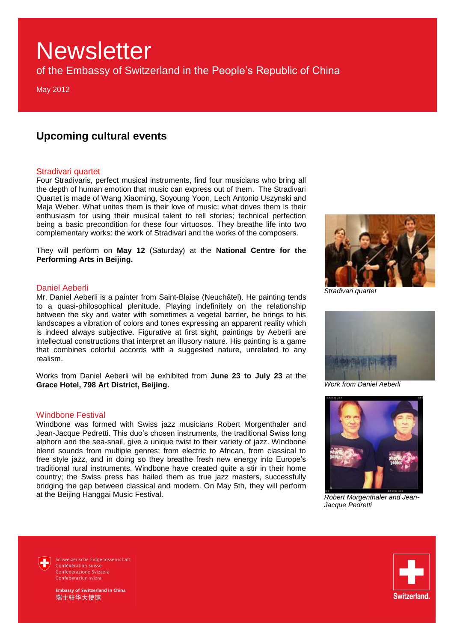of the Embassy of Switzerland in the People's Republic of China

May 2012

### **Upcoming cultural events**

#### Stradivari quartet

Four Stradivaris, perfect musical instruments, find four musicians who bring all the depth of human emotion that music can express out of them. The Stradivari Quartet is made of Wang Xiaoming, Soyoung Yoon, Lech Antonio Uszynski and Maja Weber. What unites them is their love of music; what drives them is their enthusiasm for using their musical talent to tell stories; technical perfection being a basic precondition for these four virtuosos. They breathe life into two complementary works: the work of Stradivari and the works of the composers.

They will perform on **May 12** (Saturday) at the **National Centre for the Performing Arts in Beijing.** 

#### Daniel Aeberli

Mr. Daniel Aeberli is a painter from Saint-Blaise (Neuchâtel). He painting tends to a quasi-philosophical plenitude. Playing indefinitely on the relationship between the sky and water with sometimes a vegetal barrier, he brings to his landscapes a vibration of colors and tones expressing an apparent reality which is indeed always subjective. Figurative at first sight, paintings by Aeberli are intellectual constructions that interpret an illusory nature. His painting is a game that combines colorful accords with a suggested nature, unrelated to any realism.

Works from Daniel Aeberli will be exhibited from **June 23 to July 23** at the **Grace Hotel, 798 Art District, Beijing.** 

#### Windbone Festival

Windbone was formed with Swiss jazz musicians Robert Morgenthaler and Jean-Jacque Pedretti. This duo's chosen instruments, the traditional Swiss long alphorn and the sea-snail, give a unique twist to their variety of jazz. Windbone blend sounds from multiple genres; from electric to African, from classical to free style jazz, and in doing so they breathe fresh new energy into Europe's traditional rural instruments. Windbone have created quite a stir in their home country; the Swiss press has hailed them as true jazz masters, successfully bridging the gap between classical and modern. On May 5th, they will perform at the Beijing Hanggai Music Festival.



*Stradivari quartet*



*Work from Daniel Aeberli* 



*Robert Morgenthaler and Jean-Jacque Pedretti*

Schweizerische Eidgenossenschaft Confédération suisse Confederazione Svizzera Confederaziun svizra



nbassy of Switzerland in China 瑞士驻华大使馆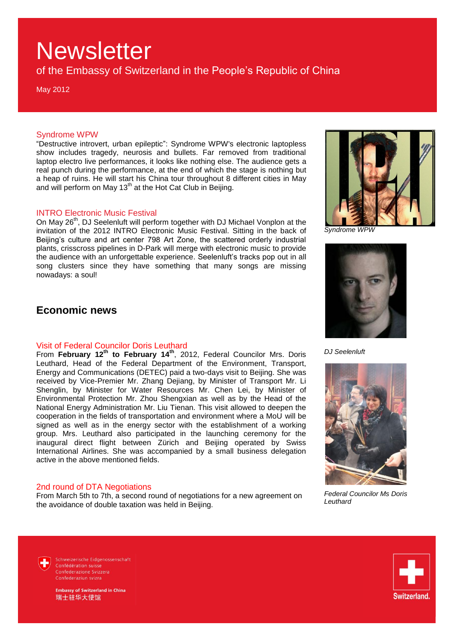of the Embassy of Switzerland in the People's Republic of China

May 2012

#### Syndrome WPW

"Destructive introvert, urban epileptic": Syndrome WPW's electronic laptopless show includes tragedy, neurosis and bullets. Far removed from traditional laptop electro live performances, it looks like nothing else. The audience gets a real punch during the performance, at the end of which the stage is nothing but a heap of ruins. He will start his China tour throughout 8 different cities in May and will perform on May 13<sup>th</sup> at the Hot Cat Club in Beijing.

#### INTRO Electronic Music Festival

On May 26<sup>th</sup>, DJ Seelenluft will perform together with DJ Michael Vonplon at the invitation of the 2012 INTRO Electronic Music Festival. Sitting in the back of Beijing's culture and art center 798 Art Zone, the scattered orderly industrial plants, crisscross pipelines in D-Park will merge with electronic music to provide the audience with an unforgettable experience. Seelenluft's tracks pop out in all song clusters since they have something that many songs are missing nowadays: a soul!

### **Economic news**

#### Visit of Federal Councilor Doris Leuthard

From **February 12th to February 14th**, 2012, Federal Councilor Mrs. Doris Leuthard, Head of the Federal Department of the Environment, Transport, Energy and Communications (DETEC) paid a two-days visit to Beijing. She was received by Vice-Premier Mr. Zhang Dejiang, by Minister of Transport Mr. Li Shenglin, by Minister for Water Resources Mr. Chen Lei, by Minister of Environmental Protection Mr. Zhou Shengxian as well as by the Head of the National Energy Administration Mr. Liu Tienan. This visit allowed to deepen the cooperation in the fields of transportation and environment where a MoU will be signed as well as in the energy sector with the establishment of a working group. Mrs. Leuthard also participated in the launching ceremony for the inaugural direct flight between Zürich and Beijing operated by Swiss International Airlines. She was accompanied by a small business delegation active in the above mentioned fields.

#### 2nd round of DTA Negotiations

From March 5th to 7th, a second round of negotiations for a new agreement on the avoidance of double taxation was held in Beijing.



*Syndrome WPW*



*DJ Seelenluft*



*Federal Councilor Ms Doris Leuthard*

Schweizerische Eidgenossenschaft Confédération suisse Confederazione Svizzera Confederaziun svizra



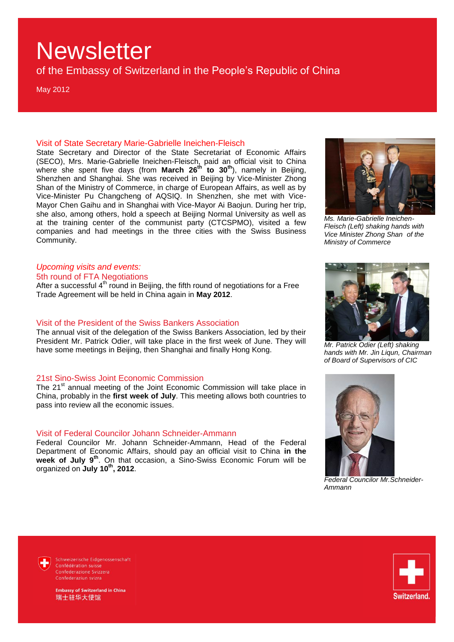of the Embassy of Switzerland in the People's Republic of China

May 2012

#### Visit of State Secretary Marie-Gabrielle Ineichen-Fleisch

State Secretary and Director of the State Secretariat of Economic Affairs (SECO), Mrs. Marie-Gabrielle Ineichen-Fleisch, paid an official visit to China where she spent five days (from **March 26th to 30th**), namely in Beijing, Shenzhen and Shanghai. She was received in Beijing by Vice-Minister Zhong Shan of the Ministry of Commerce, in charge of European Affairs, as well as by Vice-Minister Pu Changcheng of AQSIQ. In Shenzhen, she met with Vice-Mayor Chen Gaihu and in Shanghai with Vice-Mayor Ai Baojun. During her trip, she also, among others, hold a speech at Beijing Normal University as well as at the training center of the communist party (CTCSPMO), visited a few companies and had meetings in the three cities with the Swiss Business Community.

#### *Upcoming visits and events:*

5th round of FTA Negotiations

After a successful  $4<sup>th</sup>$  round in Beijing, the fifth round of negotiations for a Free Trade Agreement will be held in China again in **May 2012**.

#### Visit of the President of the Swiss Bankers Association

The annual visit of the delegation of the Swiss Bankers Association, led by their President Mr. Patrick Odier, will take place in the first week of June. They will have some meetings in Beijing, then Shanghai and finally Hong Kong.

#### 21st Sino-Swiss Joint Economic Commission

The 21<sup>st</sup> annual meeting of the Joint Economic Commission will take place in China, probably in the **first week of July**. This meeting allows both countries to pass into review all the economic issues.

#### Visit of Federal Councilor Johann Schneider-Ammann

Federal Councilor Mr. Johann Schneider-Ammann, Head of the Federal Department of Economic Affairs, should pay an official visit to China **in the week of July 9th**. On that occasion, a Sino-Swiss Economic Forum will be organized on **July 10th, 2012**.



*Ms. Marie-Gabrielle Ineichen-Fleisch (Left) shaking hands with Vice Minister Zhong Shan of the Ministry of Commerce*



*Mr. Patrick Odier (Left) shaking hands with Mr. Jin Liqun, Chairman of Board of Supervisors of CIC*



*Federal Councilor Mr.Schneider-Ammann*

Schweizerische Eidgenossenschaft Confédération suisse Confederazione Svizzera Confederaziun svizra



bassy of Switzerland in China 瑞士驻华大使馆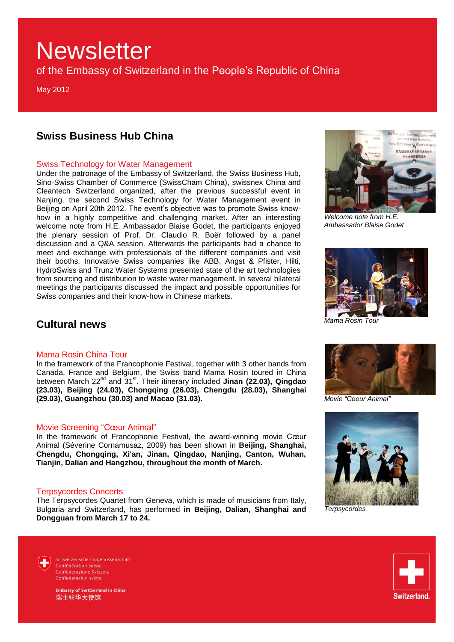of the Embassy of Switzerland in the People's Republic of China

May 2012

### **Swiss Business Hub China**

#### Swiss Technology for Water Management

Under the patronage of the Embassy of Switzerland, the Swiss Business Hub, Sino-Swiss Chamber of Commerce (SwissCham China), swissnex China and Cleantech Switzerland organized, after the previous successful event in Nanjing, the second Swiss Technology for Water Management event in Beijing on April 20th 2012. The event's objective was to promote Swiss knowhow in a highly competitive and challenging market. After an interesting welcome note from H.E. Ambassador Blaise Godet, the participants enjoyed the plenary session of Prof. Dr. Claudio R. Boër followed by a panel discussion and a Q&A session. Afterwards the participants had a chance to meet and exchange with professionals of the different companies and visit their booths. Innovative Swiss companies like ABB, Angst & Pfister, Hilti, HydroSwiss and Trunz Water Systems presented state of the art technologies from sourcing and distribution to waste water management. In several bilateral meetings the participants discussed the impact and possible opportunities for Swiss companies and their know-how in Chinese markets.



*Welcome note from H.E. Ambassador Blaise Godet*



*Mama Rosin Tour* 

### **Cultural news**

#### Mama Rosin China Tour

In the framework of the Francophonie Festival, together with 3 other bands from Canada, France and Belgium, the Swiss band Mama Rosin toured in China between March 22<sup>nd</sup> and 31<sup>st</sup>. Their itinerary included Jinan (22.03), Qingdao **(23.03), Beijing (24.03), Chongqing (26.03), Chengdu (28.03), Shanghai (29.03), Guangzhou (30.03) and Macao (31.03).** 

#### Movie Screening "Cœur Animal"

In the framework of Francophonie Festival, the award-winning movie Cœur Animal (Séverine Cornamusaz, 2009) has been shown in **Beijing, Shanghai, Chengdu, Chongqing, Xi'an, Jinan, Qingdao, Nanjing, Canton, Wuhan, Tianjin, Dalian and Hangzhou, throughout the month of March.**

#### Terpsycordes Concerts

The Terpsycordes Quartet from Geneva, which is made of musicians from Italy, Bulgaria and Switzerland, has performed **in Beijing, Dalian, Shanghai and Dongguan from March 17 to 24.**



*Movie "Coeur Animal"*



*Terpsycordes*

Schweizerische Eidgenossenschaft Confédération suisse Confederazione Svizzera Confederaziun svizra

**Embassy of Switzerland in China** 瑞士驻华大使馆

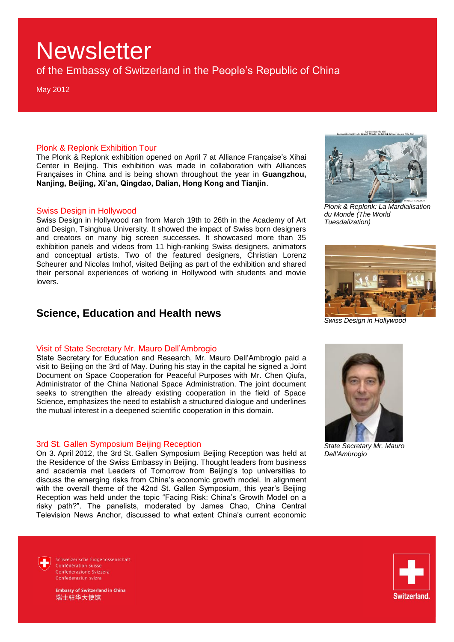of the Embassy of Switzerland in the People's Republic of China

May 2012

#### Plonk & Replonk Exhibition Tour

The Plonk & Replonk exhibition opened on April 7 at Alliance Française's Xihai Center in Beijing. This exhibition was made in collaboration with Alliances Françaises in China and is being shown throughout the year in **Guangzhou, Nanjing, Beijing, Xi'an, Qingdao, Dalian, Hong Kong and Tianjin**.

#### Swiss Design in Hollywood

Swiss Design in Hollywood ran from March 19th to 26th in the Academy of Art and Design, Tsinghua University. It showed the impact of Swiss born designers and creators on many big screen successes. It showcased more than 35 exhibition panels and videos from 11 high-ranking Swiss designers, animators and conceptual artists. Two of the featured designers, Christian Lorenz Scheurer and Nicolas Imhof, visited Beijing as part of the exhibition and shared their personal experiences of working in Hollywood with students and movie lovers.

### **Science, Education and Health news**

#### Visit of State Secretary Mr. Mauro Dell'Ambrogio

State Secretary for Education and Research, Mr. Mauro Dell'Ambrogio paid a visit to Beijing on the 3rd of May. During his stay in the capital he signed a Joint Document on Space Cooperation for Peaceful Purposes with Mr. Chen Qiufa, Administrator of the China National Space Administration. The joint document seeks to strengthen the already existing cooperation in the field of Space Science, emphasizes the need to establish a structured dialogue and underlines the mutual interest in a deepened scientific cooperation in this domain.

#### 3rd St. Gallen Symposium Beijing Reception

On 3. April 2012, the 3rd St. Gallen Symposium Beijing Reception was held at the Residence of the Swiss Embassy in Beijing. Thought leaders from business and academia met Leaders of Tomorrow from Beijing's top universities to discuss the emerging risks from China's economic growth model. In alignment with the overall theme of the 42nd St. Gallen Symposium, this year's Beijing Reception was held under the topic "Facing Risk: China's Growth Model on a risky path?". The panelists, moderated by James Chao, China Central Television News Anchor, discussed to what extent China's current economic





*Plonk & Replonk: La Mardialisation du Monde (The World Tuesdalization)*



*Swiss Design in Hollywood*



*State Secretary Mr. Mauro Dell'Ambrogio*

Schweizerische Eidgenossenschaft Confédération suisse Confederazione Svizzera Confederaziun svizra



mbassy of Switzerland in China 瑞士驻华大使馆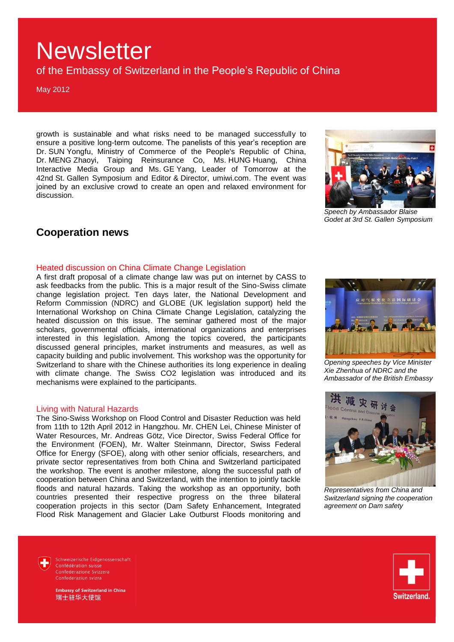of the Embassy of Switzerland in the People's Republic of China

May 2012

growth is sustainable and what risks need to be managed successfully to ensure a positive long-term outcome. The panelists of this year's reception are Dr. SUN Yongfu, Ministry of Commerce of the People's Republic of China, Dr. MENG Zhaoyi, Taiping Reinsurance Co, Ms. HUNG Huang, China Interactive Media Group and Ms. GE Yang, Leader of Tomorrow at the 42nd St. Gallen Symposium and Editor & Director, umiwi.com. The event was joined by an exclusive crowd to create an open and relaxed environment for discussion.



*Speech by Ambassador Blaise Godet at 3rd St. Gallen Symposium*

### **Cooperation news**

#### Heated discussion on China Climate Change Legislation

A first draft proposal of a climate change law was put on internet by CASS to ask feedbacks from the public. This is a major result of the Sino-Swiss climate change legislation project. Ten days later, the National Development and Reform Commission (NDRC) and GLOBE (UK legislation support) held the International Workshop on China Climate Change Legislation, catalyzing the heated discussion on this issue. The seminar gathered most of the major scholars, governmental officials, international organizations and enterprises interested in this legislation. Among the topics covered, the participants discussed general principles, market instruments and measures, as well as capacity building and public involvement. This workshop was the opportunity for Switzerland to share with the Chinese authorities its long experience in dealing with climate change. The Swiss CO2 legislation was introduced and its mechanisms were explained to the participants.

#### Living with Natural Hazards

The Sino-Swiss Workshop on Flood Control and Disaster Reduction was held from 11th to 12th April 2012 in Hangzhou. Mr. CHEN Lei, Chinese Minister of Water Resources, Mr. Andreas Götz, Vice Director, Swiss Federal Office for the Environment (FOEN), Mr. Walter Steinmann, Director, Swiss Federal Office for Energy (SFOE), along with other senior officials, researchers, and private sector representatives from both China and Switzerland participated the workshop. The event is another milestone, along the successful path of cooperation between China and Switzerland, with the intention to jointly tackle floods and natural hazards. Taking the workshop as an opportunity, both countries presented their respective progress on the three bilateral cooperation projects in this sector (Dam Safety Enhancement, Integrated Flood Risk Management and Glacier Lake Outburst Floods monitoring and



*Opening speeches by Vice Minister Xie Zhenhua of NDRC and the Ambassador of the British Embassy*



*Representatives from China and Switzerland signing the cooperation agreement on Dam safety*

Schweizerische Eidgenossenschaft Confédération suisse Confederazione Svizzera Confederaziun svizra



mbassy of Switzerland in China 瑞士驻华大使馆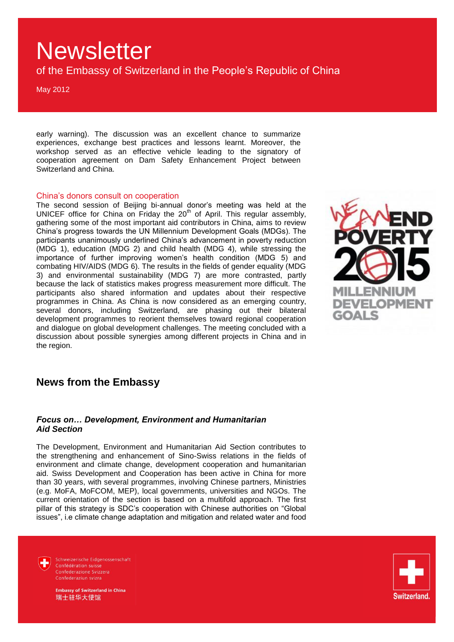of the Embassy of Switzerland in the People's Republic of China

May 2012

early warning). The discussion was an excellent chance to summarize experiences, exchange best practices and lessons learnt. Moreover, the workshop served as an effective vehicle leading to the signatory of cooperation agreement on Dam Safety Enhancement Project between Switzerland and China.

#### China's donors consult on cooperation

The second session of Beijing bi-annual donor's meeting was held at the UNICEF office for China on Friday the 20<sup>th</sup> of April. This regular assembly, gathering some of the most important aid contributors in China, aims to review China's progress towards the UN Millennium Development Goals (MDGs). The participants unanimously underlined China's advancement in poverty reduction (MDG 1), education (MDG 2) and child health (MDG 4), while stressing the importance of further improving women's health condition (MDG 5) and combating HIV/AIDS (MDG 6). The results in the fields of gender equality (MDG 3) and environmental sustainability (MDG 7) are more contrasted, partly because the lack of statistics makes progress measurement more difficult. The participants also shared information and updates about their respective programmes in China. As China is now considered as an emerging country, several donors, including Switzerland, are phasing out their bilateral development programmes to reorient themselves toward regional cooperation and dialogue on global development challenges. The meeting concluded with a discussion about possible synergies among different projects in China and in the region.



### **News from the Embassy**

#### *Focus on… Development, Environment and Humanitarian Aid Section*

The Development, Environment and Humanitarian Aid Section contributes to the strengthening and enhancement of Sino-Swiss relations in the fields of environment and climate change, development cooperation and humanitarian aid. Swiss Development and Cooperation has been active in China for more than 30 years, with several programmes, involving Chinese partners, Ministries (e.g. MoFA, MoFCOM, MEP), local governments, universities and NGOs. The current orientation of the section is based on a multifold approach. The first pillar of this strategy is SDC's cooperation with Chinese authorities on "Global issues", i.e climate change adaptation and mitigation and related water and food

Schweizerische Eidgenossenschaft Confédération suisse Confederazione Svizzera Confederaziun svizra



nbassy of Switzerland in China 瑞士驻华大使馆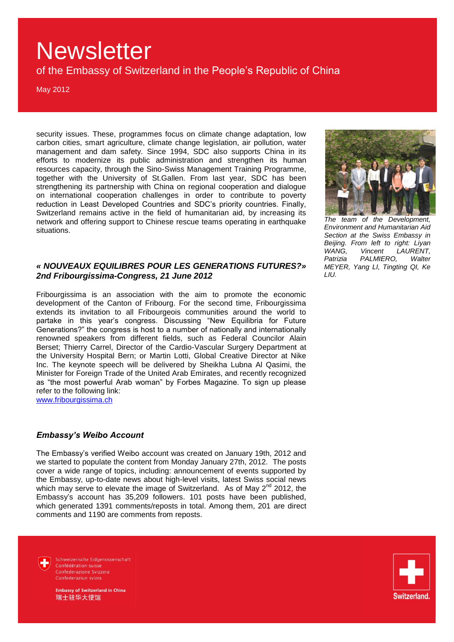of the Embassy of Switzerland in the People's Republic of China

May 2012

security issues. These, programmes focus on climate change adaptation, low carbon cities, smart agriculture, climate change legislation, air pollution, water management and dam safety. Since 1994, SDC also supports China in its efforts to modernize its public administration and strengthen its human resources capacity, through the Sino-Swiss Management Training Programme, together with the University of St.Gallen. From last year, SDC has been strengthening its partnership with China on regional cooperation and dialogue on international cooperation challenges in order to contribute to poverty reduction in Least Developed Countries and SDC's priority countries. Finally, Switzerland remains active in the field of humanitarian aid, by increasing its network and offering support to Chinese rescue teams operating in earthquake situations.

#### *« NOUVEAUX EQUILIBRES POUR LES GENERATIONS FUTURES?» 2nd Fribourgissima-Congress, 21 June 2012*

Fribourgissima is an association with the aim to promote the economic development of the Canton of Fribourg. For the second time, Fribourgissima extends its invitation to all Fribourgeois communities around the world to partake in this year's congress. Discussing "New Equilibria for Future Generations?" the congress is host to a number of nationally and internationally renowned speakers from different fields, such as Federal Councilor Alain Berset; Thierry Carrel, Director of the Cardio-Vascular Surgery Department at the University Hospital Bern; or Martin Lotti, Global Creative Director at Nike Inc. The keynote speech will be delivered by Sheikha Lubna Al Qasimi, the Minister for Foreign Trade of the United Arab Emirates, and recently recognized as "the most powerful Arab woman" by Forbes Magazine. To sign up please refer to the following link:

[www.fribourgissima.ch](http://www.fribourgissima.ch/)

#### *Embassy's Weibo Account*

The Embassy's verified Weibo account was created on January 19th, 2012 and we started to populate the content from Monday January 27th, 2012. The posts cover a wide range of topics, including: announcement of events supported by the Embassy, up-to-date news about high-level visits, latest Swiss social news which may serve to elevate the image of Switzerland. As of May  $2^{nd}$  2012, the Embassy's account has 35,209 followers. 101 posts have been published, which generated 1391 comments/reposts in total. Among them, 201 are direct comments and 1190 are comments from reposts.



*The team of the Development, Environment and Humanitarian Aid Section at the Swiss Embassy in Beijing. From left to right: Liyan WANG, Vincent LAURENT, Patrizia PALMIERO, Walter MEYER, Yang LI, Tingting QI, Ke LIU.*



Schweizerische Eidgenossenschaft Confédération suisse Confederazione Svizzera Confederaziun svizra

**Imbassy of Switzerland in China** 瑞士驻华大使馆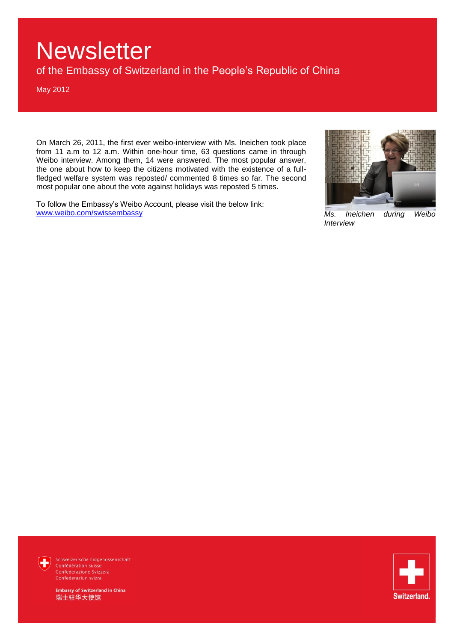of the Embassy of Switzerland in the People's Republic of China

May 2012

On March 26, 2011, the first ever weibo-interview with Ms. Ineichen took place from 11 a.m to 12 a.m. Within one-hour time, 63 questions came in through Weibo interview. Among them, 14 were answered. The most popular answer, the one about how to keep the citizens motivated with the existence of a fullfledged welfare system was reposted/ commented 8 times so far. The second most popular one about the vote against holidays was reposted 5 times.

To follow the Embassy's Weibo Account, please visit the below link: [www.weibo.com/swissembassy](http://www.weibo.com/swissembassy) *Ms. Ineichen during Weibo* 



*Interview* 



Schweizerische Eidgenossenschaft Confederazione Svizzera

**Embassy of Switzerland in China** 瑞士驻华大使馆